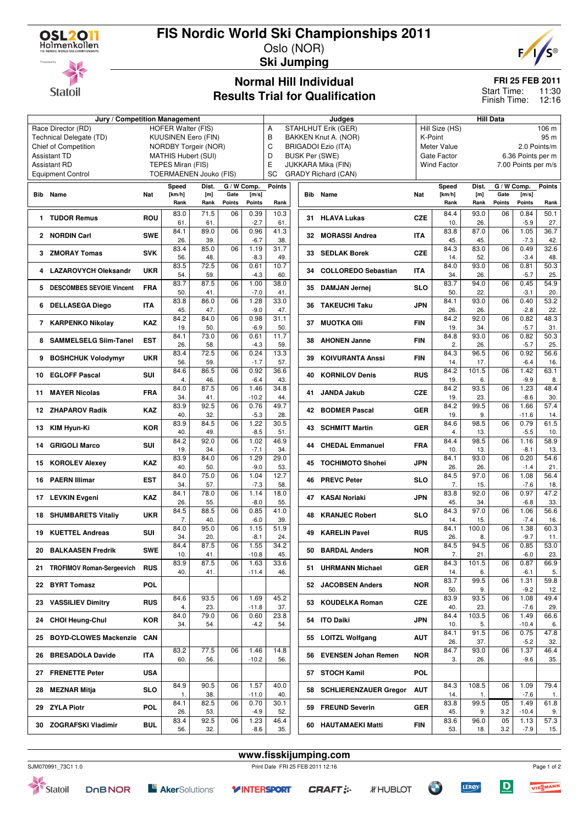

**Statoil** 

# **FIS Nordic World Ski Championships 2011**

Oslo (NOR) **Ski Jumping**

**Normal Hill Individual Results Trial for Qualification**



### **FRI 25 FEB 2011**

11:30 12:16 Start Time: Finish Time:

### **Jury / Competition Management Judges Hill Data** Race Director (RD) HOFER Walter (FIS) Technical Delegate (TD) KUUSINEN Eero (FIN) Chief of Competition NORDBY Torgeir (NOR) Assistant TD MATHIS Hubert (SUI) Assistant RD TEPES Miran (FIS) Equipment Control TOERMAENEN Jouko (FIS) A STAHLHUT Erik (GER)<br>B BAKKEN Knut A. (NOF BAKKEN Knut A. (NOR) C BRIGADOI Ezio (ITA) D BUSK Per (SWE) E JUKKARA Mika (FIN) SC GRADY Richard (CAN) Hill Size (HS) 106 m K-Point 95 m Meter Value 2.0 Points/m Gate Factor 6.36 Points per m<br>Wind Factor 7.00 Points per m/s 7.00 Points per m/s **Bib Name** Nat **Speed Dist. [km/h] [m] Rank Rank G / W Comp. Gate Points [m/s] Points Points Rank 1 TUDOR Remus** ROU 83.0 71.5  $\begin{array}{|c|c|c|c|}\n\hline\n61. & 61. \\
\hline\n84.1 & 89.0\n\end{array}$  $06 \mid 0.39$ -2.7  $10.3$ 61. **2 NORDIN Carl SWE**  $\begin{bmatrix} 64.1 \\ 26. \end{bmatrix}$ 26. 39.  $0.96 - 0.96$ -6.7  $\frac{1}{41.3}$ 38. **3 ZMORAY Tomas**  $SVK \begin{bmatrix} 83.4 & 85.0 \\ 56 & 48.0 \end{bmatrix}$ 56. 48. 06 1.19 -8.3 31.7 49. **4 LAZAROVYCH Oleksandr UKR** 83.5 72.5  $\frac{59}{87.5}$  $06$  0.61 -4.3 10.7 60. **5 DESCOMBES SEVOIE Vincent FRA**  $\begin{bmatrix} 83.7 \\ 50 \end{bmatrix}$ 50. 41.  $06$  1.00 -7.0 38.0 41. **6 DELLASEGA Diego ITA**  $\begin{array}{|c|c|c|c|} \hline 83.8 & 86.0 & 86.0 & 86.0 & 86.0 & 86.0 & 86.0 & 86.0 & 86.0 & 86.0 & 86.0 & 86.0 & 86.0 & 86.0 & 86.0 & 86.0 & 86.0 & 86.0 & 86.0 & 86.0 & 86.0 & 86.0 & 86.0 & 86.0 & 86.0 & 86.0 & 86.0 & 86.0 & 86.0 & 86.$  $\begin{array}{|c|c|c|}\n\hline\n45. & 47. \\
\hline\n84.2 & 84.0\n\end{array}$  $06$  1.28  $-9.0$ 33.0 47. **7 KARPENKO Nikolay KAZ** 84.2  $\begin{array}{|c|c|c|}\n\hline\n & 19. & 50. \\
\hline\n84.1 & 73.0\n\end{array}$ 06 0.98 -6.9  $31.1$ 50. **8 SAMMELSELG Siim-Tanel EST**  $\begin{bmatrix} 84.1 \\ 26 \end{bmatrix}$ 26. 58.  $06$   $0.61$ -4.3 11.7 59. **9 BOSHCHUK Volodymyr UKR** 83.4 72.5 56. 59.  $0.6$  0.24 -1.7 13.3 57. **10 EGLOFF Pascal SUI** 84.6 86.5 46  $06 \overline{)0.92}$ -6.4 36.6 43. **11 MAYER Nicolas FRA**  $\begin{array}{|c|c|c|c|} \hline 84.0 & 87.5 & & \\ 34 & & 41 & \\ \hline \end{array}$ 41  $06$  1.46  $-10.2$ 34.8 44. **12 ZHAPAROV Radik KAZ**  $\begin{array}{|c|c|c|} \hline 83.9 & 92.5 \\ 40 & 32.5 \\ \hline \end{array}$  $\begin{array}{|c|c|c|}\n\hline\n40. & 32. \\
\hline\n83.9 & 84.5\n\end{array}$  $06$  0.76 -5.3 49.7 28. **13 KIM Hyun-Ki KOR**  $\begin{bmatrix} 63.9 \\ 40.5 \end{bmatrix}$ 40. 49.  $06$  1.22 -8.5  $\frac{1}{30.5}$ 51. **14 GRIGOLI Marco SUI**  $\begin{array}{|c|c|c|c|} \hline 84.2 & 92.0 & & \\ 19 & & 34. & \\\hline \end{array}$ 19. 34.  $06$  1.02 -7.1 46.9 34. **15 KOROLEV Alexey <br><b>15 KOROLEV Alexey KAZ**  $\begin{array}{|c} 83.9 & 84.0 \\ 40. & 50. \end{array}$ 40. 50.  $06$  1.29 -9.0 29.0 53. **16 PAERN Illimar EST**  $\begin{array}{|c|c|c|}\n\hline\n84.0 & 75.0 \\
\hline\n34 & 57\n\end{array}$ 34. 57.  $06 \mid 1.04$ -7.3 12.7 58. **17 LEVKIN Evgeni KAZ**  $\begin{bmatrix} 84.1 & 78.0 \\ 26 & 55 \end{bmatrix}$  $\begin{array}{|c|c|c|}\n\hline\n26. & \phantom{0}55. \\
\hline\n84.5 & \phantom{0}88.5 \\
\hline\n\end{array}$  $06$  1.14  $-8.0$ 18.0 55. **18 SHUMBARETS Vitaliy** UKR  $\begin{bmatrix} 0 & 3 & 1 \\ 0 & 7 & 7 \end{bmatrix}$  $\begin{array}{|c|c|c|}\n \hline\n 7. & 40. \\
 \hline\n 84.0 & 95.0\n \end{array}$  $06$   $0.85$ -6.0 41.0 39. **19 KUETTEL Andreas** SUI  $\begin{bmatrix} 84.0 \\ 34 \end{bmatrix}$ 34. 20.  $06$  1.15 -8.1  $51.9$ 24. **20 BALKAASEN Fredrik SWE**  $\begin{array}{|c|c|c|c|} \hline 84.4 & 87.5 & \\ 10. & 41. & \hline \end{array}$ 41 06 1.55 -10.8  $34.2$ 45. **<sup>21</sup> TROFIMOV Roman-Sergeevich RUS** 83.9 87.5 40. 41.  $06$  1.63 -11.4 33.6 46. **22 BYRT Tomasz POL 23 VASSILIEV Dimitry** RUS  $\begin{array}{|l|l|l|l|}\n\hline\n84.6 & 93.5 \\
4. & 23.5\n\end{array}$  $\begin{array}{|c|c|c|}\n \hline\n 4. & 23. \\
 \hline\n 84.0 & 79.0\n \end{array}$  $06$  1.69  $-11.8$  $45.2$ 37. 24 CHOI Heung-Chul **KOR**  $\begin{bmatrix} 04.0 \\ 34 \end{bmatrix}$ 34. 54.  $0.60 - 0.60$ -4.2 23.8 54. **25 BOYD-CLOWES Mackenzie CAN 26 BRESADOLA Davide ITA** 83.2 77.5 60. 56.  $06$  1.46  $-10.2$ 14.8 56. **27 FRENETTE Peter USA 28 MEZNAR Mitja SLO**  $\begin{array}{|c|c|c|c|}\n\hline\n & 84.9 & 90.5 \\
\hline\n & 1 & 38\n\end{array}$  $\begin{array}{|c|c|c|}\n \hline\n & 1. & 38. \\
\hline\n84.1 & 82.5\n\end{array}$  $06$  1.57  $-11.0$  $40.0$  $40<sub>0</sub>$ **29 ZYLA Piotr POL**  $\begin{bmatrix} 04.1 \\ 26 \end{bmatrix}$  $\begin{array}{|c|c|c|}\n\hline\n26. & 53. \\
\hline\n83.4 & 92.5 \\
\hline\n\end{array}$  $06 0.70$ -4.9  $30.1$ 52. **30 ZOGRAFSKI Vladimir** BUL 83.4 32  $06$  1.23 -8.6 46.4 35. **Bib Name** Nat **Speed Dist. [km/h] [m] Rank Rank G / W Comp. Gate Points [m/s] Points Points Rank 31 HLAVA Lukas CZE**  $\begin{array}{|c|c|c|}\n 84.4 & 93.0 \\
 \hline\n 10 & 26\n\end{array}$  $\begin{array}{|c|c|c|}\n\hline\n10. & 26. \\
\hline\n83.8 & 87.0\n\end{array}$ 0.84 -5.9  $50.1$ 27. **32 MORASSI Andrea ITA**  $\begin{bmatrix} 83.8 \\ 45. \end{bmatrix}$ 45. 45.  $06$  1.05 -7.3 36.7 42. **33 SEDLAK Borek CZE**  $\begin{bmatrix} 84.3 & 83.0 \\ 14 & 52 \end{bmatrix}$ 14. 06 0.49 -3.4 32.6 48. **34 COLLOREDO Sebastian ITA** 84.0 93.0 34. 26.  $06$  0.81 -5.7  $\frac{1}{50.3}$ 25. **35 DAMJAN Jernej SLO** 83.7 94.0 22  $06$   $0.45$ -3.1 54.9 20. **36 TAKEUCHI Taku JPN** 84.1 93.0  $\begin{array}{|c|c|c|}\n \hline\n 26. & \hspace{1.5cm} 26. \\
 \hline\n 84.2 & \hspace{1.5cm} 92.0 \\
 \hline\n \end{array}$  $06$  0.40 -2.8 53.2  $22.2$ **37 MUOTKA Olli FIN**  $\begin{bmatrix} 04.2 \\ 19 \end{bmatrix}$  $\begin{array}{|c|c|c|}\n\hline\n & 19. & 34. \\
\hline\n84.8 & 93.0\n\end{array}$  $06 0.82$ -5.7 48.3 31. **38 AHONEN Janne** FIN  $\begin{bmatrix} 84.8 \\ 2 \end{bmatrix}$ 2. 26.  $06 \overline{)0.82}$ -5.7  $\frac{1}{50.3}$ 25. **39 KOIVURANTA Anssi FIN** 84.3 96.5 17  $06$  0.92 -6.4 56.6 16. **40 KORNILOV Denis RUS** 84.2 101.5 19.  $06$  1.42 -9.9 63.1 8. **41 JANDA Jakub CZE** 84.2 93.5 23  $06$  1.23 -8.6 48.4 30. **42 BODMER Pascal GER** 84.2 99.5  $\begin{array}{|c|c|c|c|}\n\hline\n & 19. & 9. \\
\hline\n84.6 & 98.5 \\
\hline\n\end{array}$  $06$  1.66 -11.6 57.4 14. **43 SCHMITT Martin GER**  $\begin{bmatrix} 84.6 \\ 4. \end{bmatrix}$ 4. 13.  $06 \overline{0.79}$ -5.5  $61.5$ 10. **44 CHEDAL Emmanuel FRA** 84.4 98.5 10. 13.  $06$  1.16 -8.1 58.9 13. **45 TOCHIMOTO Shohei JPN**  $\begin{array}{|c|c|c|c|c|} \hline 84.1 & 93.0 & & \ 26. & 26. & & \ \hline \end{array}$  $\frac{26}{97.0}$  $06$   $0.20$ -1.4 54.6 21. **46 PREVC Peter SLO** 84.5 7. 15.  $06$  1.08 -7.6 56.4 18. **47 KASAI Noriaki JPN** 83.8 92.0  $\begin{array}{|c|c|c|}\n\hline\n45. & 34. \\
\hline\n84.3 & 97.0\n\end{array}$  $06$  0.97 -6.8 47.2 33. **48 KRANJEC Robert SLO** 84.3 **15**  $\begin{array}{|c|c|c|}\n\hline\n & 14. & 15. \\
\hline\n84.1 & 100.0\n\end{array}$  $06$  1.06 -7.4 56.6 16. **49 KARELIN Pavel RUS**  $\begin{bmatrix} 84.1 & 100.0 \\ 26 & 8 \end{bmatrix}$ 26  $06$  1.38 -9.7 60.3 11. **50 BARDAL Anders NOR**  $\begin{array}{|c|c|c|c|}\n\hline\n & 84.5 & 94.5 & 94.5 & 94.5 & 94.5 & 94.5 & 94.5 & 94.5 & 94.5 & 94.5 & 95.5 & 96.5 & 96.5 & 97.5 & 98.5 & 99.5 & 99.5 & 99.5 & 99.5 & 99.5 & 99.5 & 99.5 & 99.5 & 99.5 & 99.5 & 99.5 & 99.5 & 99.5 & 99.5 &$ 21  $0.6$  0.85 -6.0 53.0 23. **51 UHRMANN Michael GER** 84.3 101.5 14. 6.  $06 \mid 0.87$ -6.1 66.9 5. **52 JACOBSEN Anders NOR**  $\begin{bmatrix} 83.7 & 99.5 \\ 50 & 9 \end{bmatrix}$ 50.  $06$  1.31 -9.2 59.8 12. **53 KOUDELKA Roman CZE**  $\begin{bmatrix} 83.9 & 93.5 \\ 40 & 23. \end{bmatrix}$  $\begin{array}{|c|c|c|}\n\hline\n40. & 23. \\
\hline\n84.4 & 103.5\n\end{array}$  $06$  1.08 -7.6 49.4 29. **54 ITO Daiki JPN**  $\begin{bmatrix} 64.4 \\ 10 \end{bmatrix}$   $\begin{bmatrix} 103.5 \\ 10 \end{bmatrix}$  $10.$  $06 \overline{)149}$ -10.4 66.6 6. **55 LOITZL Wolfgang AUT**  $\begin{array}{|c|c|c|c|} \hline 84.1 & 91.5 & \\ 26 & 37 & \\ \hline \end{array}$ 37  $06$  0.75 -5.2 47.8 32. **56 EVENSEN Johan Remen NOR** 84.7 93.0 3. 26.  $06$  1.37 -9.6 46.4 35. **57 STOCH Kamil POL 58 SCHLIERENZAUER Gregor AUT** 84.3 108.5  $\begin{array}{|c|c|c|}\n \hline\n 14. & 1. \\
 \hline\n 83.8 & 99.5 \\
 \hline\n\end{array}$  $06$  1.09 -7.6 79.4 1. **59 FREUND Severin GER**  $\begin{bmatrix} 0.3.8 \\ 45. \end{bmatrix}$   $\begin{bmatrix} 33.8 \\ 45. \end{bmatrix}$  $\frac{45}{83.6}$ 05 3.2 1.49 -10.4 61.8 9. **60 HAUTAMAEKI Matti FIN** 83.6 96.0 53. 18. 05 3.2 1.13 -7.9 57.3 15.

**www.fisskijumping.com**

SJM070991\_73C1 1.0 Print Date FRI 25 FEB 2011 12:16

Statoil **DOBNOR** 

**Y INTERSPORT** 

**CRAFT:** 



 $\mathbf D$ 

**LERØY**